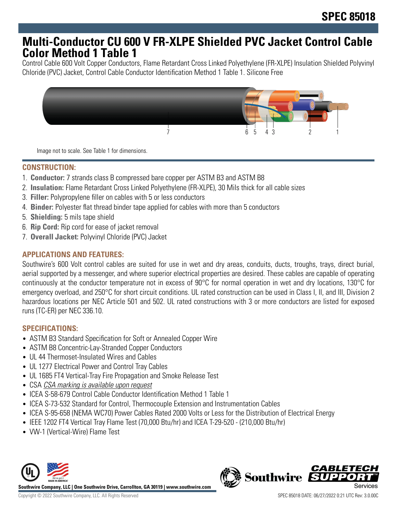## **Multi-Conductor CU 600 V FR-XLPE Shielded PVC Jacket Control Cable Color Method 1 Table 1**

Control Cable 600 Volt Copper Conductors, Flame Retardant Cross Linked Polyethylene (FR-XLPE) Insulation Shielded Polyvinyl Chloride (PVC) Jacket, Control Cable Conductor Identification Method 1 Table 1. Silicone Free



Image not to scale. See Table 1 for dimensions.

## **CONSTRUCTION:**

- 1. **Conductor:** 7 strands class B compressed bare copper per ASTM B3 and ASTM B8
- 2. **Insulation:** Flame Retardant Cross Linked Polyethylene (FR-XLPE), 30 Mils thick for all cable sizes
- 3. **Filler:** Polypropylene filler on cables with 5 or less conductors
- 4. **Binder:** Polyester flat thread binder tape applied for cables with more than 5 conductors
- 5. **Shielding:** 5 mils tape shield
- 6. **Rip Cord:** Rip cord for ease of jacket removal
- 7. **Overall Jacket:** Polyvinyl Chloride (PVC) Jacket

### **APPLICATIONS AND FEATURES:**

Southwire's 600 Volt control cables are suited for use in wet and dry areas, conduits, ducts, troughs, trays, direct burial, aerial supported by a messenger, and where superior electrical properties are desired. These cables are capable of operating continuously at the conductor temperature not in excess of 90°C for normal operation in wet and dry locations, 130°C for emergency overload, and 250°C for short circuit conditions. UL rated construction can be used in Class I, II, and III, Division 2 hazardous locations per NEC Article 501 and 502. UL rated constructions with 3 or more conductors are listed for exposed runs (TC-ER) per NEC 336.10.

## **SPECIFICATIONS:**

- ASTM B3 Standard Specification for Soft or Annealed Copper Wire
- ASTM B8 Concentric-Lay-Stranded Copper Conductors
- UL 44 Thermoset-Insulated Wires and Cables
- UL 1277 Electrical Power and Control Tray Cables
- UL 1685 FT4 Vertical-Tray Fire Propagation and Smoke Release Test
- CSA CSA marking is available upon request
- ICEA S-58-679 Control Cable Conductor Identification Method 1 Table 1
- ICEA S-73-532 Standard for Control, Thermocouple Extension and Instrumentation Cables
- ICEA S-95-658 (NEMA WC70) Power Cables Rated 2000 Volts or Less for the Distribution of Electrical Energy
- IEEE 1202 FT4 Vertical Tray Flame Test (70,000 Btu/hr) and ICEA T-29-520 (210,000 Btu/hr)
- VW-1 (Vertical-Wire) Flame Test



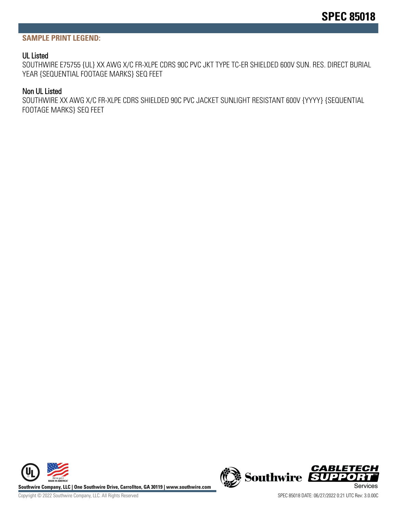#### **SAMPLE PRINT LEGEND:**

#### UL Listed

SOUTHWIRE E75755 {UL} XX AWG X/C FR-XLPE CDRS 90C PVC JKT TYPE TC-ER SHIELDED 600V SUN. RES. DIRECT BURIAL YEAR {SEQUENTIAL FOOTAGE MARKS} SEQ FEET

#### Non UL Listed

SOUTHWIRE XX AWG X/C FR-XLPE CDRS SHIELDED 90C PVC JACKET SUNLIGHT RESISTANT 600V {YYYY} {SEQUENTIAL FOOTAGE MARKS} SEQ FEET



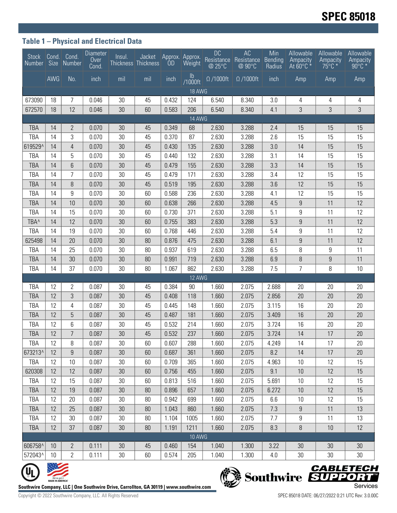## **Table 1 – Physical and Electrical Data**

|                                                                                                    |     | Stock Cond. Cond.<br>Number Size Number | <b>Diameter</b><br>Over<br>Cond. | Insul.<br>Thickness Thickness | Jacket | <b>OD</b> | Approx. Approx.<br>Weight | <b>DC</b><br>Resistance<br>@ 25°C | AC<br>Resistance<br>@ 90°C | Min<br>Bending<br>Radius | Allowable<br>Ampacity<br>At $60^{\circ}$ C $*$ | Allowable<br>Ampacity<br>$75^{\circ}$ C $*$ | Allowable<br>Ampacity<br>$90^{\circ}$ C $*$ |
|----------------------------------------------------------------------------------------------------|-----|-----------------------------------------|----------------------------------|-------------------------------|--------|-----------|---------------------------|-----------------------------------|----------------------------|--------------------------|------------------------------------------------|---------------------------------------------|---------------------------------------------|
|                                                                                                    | AWG | No.                                     | inch                             | mil                           | mil    | inch      | $\mathsf{lb}$<br>/1000ft  | $\overline{\Omega}$ /1000ft       | $\Omega$ /1000ft           | inch                     | Amp                                            | Amp                                         | Amp                                         |
| 18 AWG                                                                                             |     |                                         |                                  |                               |        |           |                           |                                   |                            |                          |                                                |                                             |                                             |
| 673090                                                                                             | 18  | 7                                       | 0.046                            | 30                            | 45     | 0.432     | 124                       | 6.540                             | 8.340                      | 3.0                      | 4                                              | 4                                           | 4                                           |
| 672570                                                                                             | 18  | 12                                      | 0.046                            | 30                            | 60     | 0.583     | 206                       | 6.540                             | 8.340                      | 4.1                      | 3                                              | 3                                           | 3                                           |
| 14 AWG                                                                                             |     |                                         |                                  |                               |        |           |                           |                                   |                            |                          |                                                |                                             |                                             |
| <b>TBA</b>                                                                                         | 14  | $\mathbf{2}$                            | 0.070                            | 30                            | 45     | 0.349     | 68                        | 2.630                             | 3.288                      | 2.4                      | 15                                             | 15                                          | 15                                          |
| TBA                                                                                                | 14  | 3                                       | 0.070                            | 30                            | 45     | 0.370     | 87                        | 2.630                             | 3.288                      | 2.6                      | 15                                             | 15                                          | 15                                          |
| 619529^                                                                                            | 14  | $\overline{4}$                          | 0.070                            | 30                            | 45     | 0.430     | 135                       | 2.630                             | 3.288                      | 3.0                      | 14                                             | 15                                          | 15                                          |
| TBA                                                                                                | 14  | 5                                       | 0.070                            | 30                            | 45     | 0.440     | 132                       | 2.630                             | 3.288                      | 3.1                      | 14                                             | 15                                          | 15                                          |
| <b>TBA</b>                                                                                         | 14  | $6\phantom{1}$                          | 0.070                            | 30                            | 45     | 0.479     | 155                       | 2.630                             | 3.288                      | 3.3                      | 14                                             | 15                                          | 15                                          |
| <b>TBA</b>                                                                                         | 14  | $\overline{7}$                          | 0.070                            | 30                            | 45     | 0.479     | 171                       | 2.630                             | 3.288                      | 3.4                      | 12                                             | 15                                          | 15                                          |
| <b>TBA</b>                                                                                         | 14  | 8                                       | 0.070                            | 30                            | 45     | 0.519     | 195                       | 2.630                             | 3.288                      | 3.6                      | 12                                             | 15                                          | 15                                          |
| TBA                                                                                                | 14  | 9                                       | 0.070                            | 30                            | 60     | 0.588     | 236                       | 2.630                             | 3.288                      | 4.1                      | 12                                             | 15                                          | 15                                          |
| <b>TBA</b>                                                                                         | 14  | 10                                      | 0.070                            | 30                            | 60     | 0.638     | 266                       | 2.630                             | 3.288                      | 4.5                      | 9                                              | 11                                          | 12                                          |
| TBA                                                                                                | 14  | 15                                      | 0.070                            | 30                            | 60     | 0.730     | 371                       | 2.630                             | 3.288                      | 5.1                      | 9                                              | 11                                          | 12                                          |
| TBA <sup>^</sup>                                                                                   | 14  | 12                                      | 0.070                            | 30                            | 60     | 0.755     | 383                       | 2.630                             | 3.288                      | 5.3                      | $9\,$                                          | 11                                          | 12                                          |
| TBA                                                                                                | 14  | 19                                      | 0.070                            | 30                            | 60     | 0.768     | 446                       | 2.630                             | 3.288                      | 5.4                      | 9                                              | 11                                          | 12                                          |
| 625498                                                                                             | 14  | 20                                      | 0.070                            | 30                            | 80     | 0.876     | 475                       | 2.630                             | 3.288                      | 6.1                      | 9                                              | 11                                          | 12                                          |
| TBA                                                                                                | 14  | 25                                      | 0.070                            | 30                            | 80     | 0.937     | 619                       | 2.630                             | 3.288                      | 6.5                      | 8                                              | 9                                           | 11                                          |
| <b>TBA</b>                                                                                         | 14  | 30                                      | 0.070                            | 30                            | 80     | 0.991     | 719                       | 2.630                             | 3.288                      | 6.9                      | 8                                              | 9                                           | 11                                          |
| TBA                                                                                                | 14  | 37                                      | 0.070                            | 30                            | 80     | 1.067     | 862                       | 2.630                             | 3.288                      | 7.5                      | 7                                              | 8                                           | 10                                          |
| 12 AWG                                                                                             |     |                                         |                                  |                               |        |           |                           |                                   |                            |                          |                                                |                                             |                                             |
| TBA                                                                                                | 12  | 2                                       | 0.087                            | 30                            | 45     | 0.384     | 90                        | 1.660                             | 2.075                      | 2.688                    | 20                                             | 20                                          | 20                                          |
| <b>TBA</b>                                                                                         | 12  | $\sqrt{3}$                              | 0.087                            | 30                            | 45     | 0.408     | 118                       | 1.660                             | 2.075                      | 2.856                    | 20                                             | 20                                          | 20                                          |
| TBA                                                                                                | 12  | 4                                       | 0.087                            | 30                            | 45     | 0.445     | 148                       | 1.660                             | 2.075                      | 3.115                    | 16                                             | 20                                          | 20                                          |
| <b>TBA</b>                                                                                         | 12  | 5                                       | 0.087                            | 30                            | 45     | 0.487     | 181                       | 1.660                             | 2.075                      | 3.409                    | 16                                             | 20                                          | 20                                          |
| TBA                                                                                                | 12  | 6                                       | 0.087                            | 30                            | 45     | 0.532     | 214                       | 1.660                             | 2.075                      | 3.724                    | 16                                             | 20                                          | 20                                          |
| <b>TBA</b>                                                                                         | 12  | $\overline{7}$                          | 0.087                            | 30                            | 45     | 0.532     | 237                       | 1.660                             | 2.075                      | 3.724                    | 14                                             | 17                                          | 20                                          |
| TBA                                                                                                | 12  | 8                                       | 0.087                            | 30                            | 60     | 0.607     | 288                       | 1.660                             | 2.075                      | 4.249                    | 14                                             | 17                                          | 20                                          |
| 673213^                                                                                            | 12  | $\boldsymbol{9}$                        | 0.087                            | 30                            | 60     | 0.687     | 361                       | 1.660                             | 2.075                      | 8.2                      | 14                                             | 17                                          | 20                                          |
| TBA                                                                                                | 12  | 10                                      | 0.087                            | 30                            | 60     | 0.709     | 365                       | 1.660                             | 2.075                      | 4.963                    | 10                                             | 12                                          | 15                                          |
| 620308                                                                                             | 12  | 12                                      | 0.087                            | 30                            | 60     | 0.756     | 455                       | 1.660                             | 2.075                      | 9.1                      | 10                                             | 12                                          | 15                                          |
| TBA                                                                                                | 12  | 15                                      | 0.087                            | 30                            | 60     | 0.813     | 516                       | 1.660                             | 2.075                      | 5.691                    | 10                                             | 12                                          | 15                                          |
| TBA                                                                                                | 12  | 19                                      | 0.087                            | 30                            | 80     | 0.896     | 657                       | 1.660                             | 2.075                      | 6.272                    | 10                                             | 12                                          | 15                                          |
| TBA                                                                                                | 12  | 20                                      | 0.087                            | 30                            | 80     | 0.942     | 699                       | 1.660                             | 2.075                      | 6.6                      | 10                                             | 12                                          | 15                                          |
| TBA                                                                                                | 12  | 25                                      | 0.087                            | 30                            | 80     | 1.043     | 860                       | 1.660                             | 2.075                      | 7.3                      | 9                                              | 11                                          | 13                                          |
| TBA                                                                                                | 12  | 30                                      | 0.087                            | 30                            | 80     | 1.104     | 1005                      | 1.660                             | 2.075                      | 7.7                      | 9                                              | 11                                          | 13                                          |
| <b>TBA</b>                                                                                         | 12  | 37                                      | 0.087                            | 30                            | 80     | 1.191     | 1211                      | 1.660                             | 2.075                      | 8.3                      | $\, 8$                                         | 10                                          | 12                                          |
| <b>10 AWG</b>                                                                                      |     |                                         |                                  |                               |        |           |                           |                                   |                            |                          |                                                |                                             |                                             |
| 606758^                                                                                            | 10  | $\mathbf{2}$                            | 0.111                            | 30                            | 45     | 0.460     | 154                       | 1.040                             | 1.300                      | 3.22                     | 30                                             | 30                                          | 30                                          |
| 572043^                                                                                            | 10  | $\overline{2}$                          | 0.111                            | $30\,$                        | 60     | 0.574     | 205                       | 1.040                             | 1.300                      | 4.0                      | 30                                             | 30                                          | 30                                          |
| <b>CABLETECH</b><br>Southwire SUPPORT                                                              |     |                                         |                                  |                               |        |           |                           |                                   |                            |                          |                                                |                                             |                                             |
| We've got it<br>MADE IN AMERICA"                                                                   |     |                                         |                                  |                               |        |           |                           |                                   |                            |                          |                                                |                                             |                                             |
| Services<br>Southwire Company, LLC   One Southwire Drive, Carrollton, GA 30119   www.southwire.com |     |                                         |                                  |                               |        |           |                           |                                   |                            |                          |                                                |                                             |                                             |